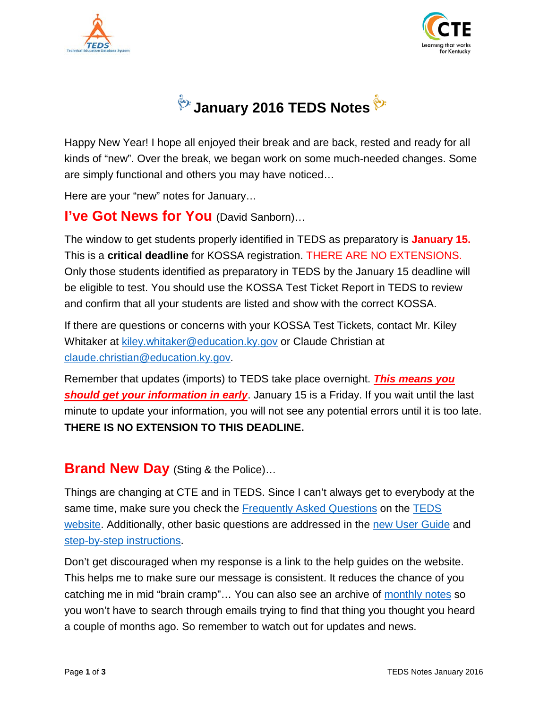





Happy New Year! I hope all enjoyed their break and are back, rested and ready for all kinds of "new". Over the break, we began work on some much-needed changes. Some are simply functional and others you may have noticed…

Here are your "new" notes for January…

#### **I've Got News for You** (David Sanborn)…

The window to get students properly identified in TEDS as preparatory is **January 15.** This is a **critical deadline** for KOSSA registration. THERE ARE NO EXTENSIONS. Only those students identified as preparatory in TEDS by the January 15 deadline will be eligible to test. You should use the KOSSA Test Ticket Report in TEDS to review and confirm that all your students are listed and show with the correct KOSSA.

If there are questions or concerns with your KOSSA Test Tickets, contact Mr. Kiley Whitaker at [kiley.whitaker@education.ky.gov](mailto:kiley.whitaker@education.ky.gov) or Claude Christian at [claude.christian@education.ky.gov.](mailto:claude.christian@education.ky.gov)

Remember that updates (imports) to TEDS take place overnight. *This means you should get your information in early*. January 15 is a Friday. If you wait until the last minute to update your information, you will not see any potential errors until it is too late. **THERE IS NO EXTENSION TO THIS DEADLINE.**

#### **Brand New Day** (Sting & the Police)...

Things are changing at CTE and in TEDS. Since I can't always get to everybody at the same time, make sure you check the [Frequently Asked Questions](http://education.ky.gov/CTE/teds/Documents/TEDS_FAQ.pdf) on the [TEDS](http://education.ky.gov/CTE/teds/Pages/default.aspx)  [website.](http://education.ky.gov/CTE/teds/Pages/default.aspx) Additionally, other basic questions are addressed in the [new User Guide](http://education.ky.gov/CTE/teds/Documents/TEDS_User_Guide.pdf) and [step-by-step instructions.](http://education.ky.gov/CTE/teds/Pages/TEDSStepbyStep.aspx)

Don't get discouraged when my response is a link to the help guides on the website. This helps me to make sure our message is consistent. It reduces the chance of you catching me in mid "brain cramp"... You can also see an archive of [monthly notes](http://education.ky.gov/CTE/teds/Pages/TEDSMM.aspx) so you won't have to search through emails trying to find that thing you thought you heard a couple of months ago. So remember to watch out for updates and news.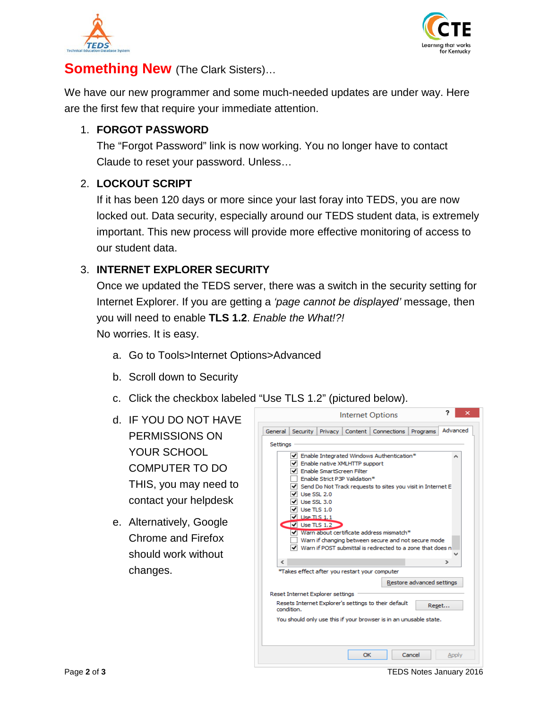



### **Something New** (The Clark Sisters)…

We have our new programmer and some much-needed updates are under way. Here are the first few that require your immediate attention.

#### 1. **FORGOT PASSWORD**

The "Forgot Password" link is now working. You no longer have to contact Claude to reset your password. Unless…

#### 2. **LOCKOUT SCRIPT**

If it has been 120 days or more since your last foray into TEDS, you are now locked out. Data security, especially around our TEDS student data, is extremely important. This new process will provide more effective monitoring of access to our student data.

#### 3. **INTERNET EXPLORER SECURITY**

Once we updated the TEDS server, there was a switch in the security setting for Internet Explorer. If you are getting a *'page cannot be displayed'* message, then you will need to enable **TLS 1.2**. *Enable the What!?!* No worries. It is easy.

- a. Go to Tools>Internet Options>Advanced
- b. Scroll down to Security
- c. Click the checkbox labeled "Use TLS 1.2" (pictured below).
- d. IF YOU DO NOT HAVE PERMISSIONS ON YOUR SCHOOL COMPUTER TO DO THIS, you may need to contact your helpdesk
- e. Alternatively, Google Chrome and Firefox should work without changes.



Page **2** of **3** TEDS Notes January 2016